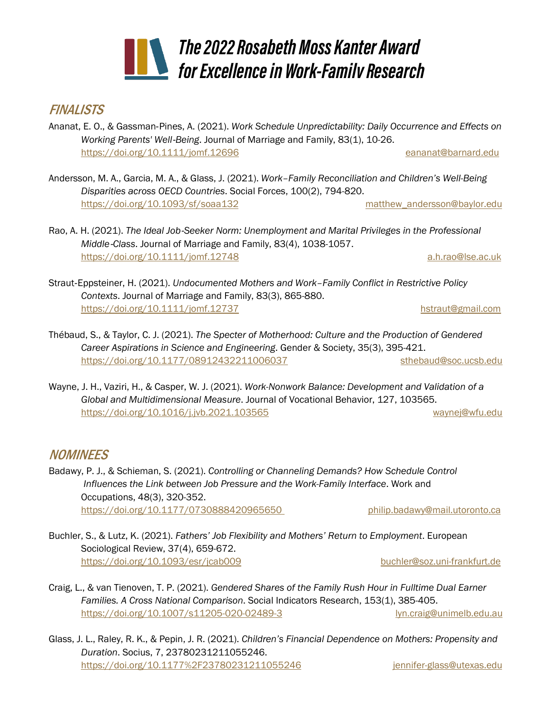## *The 2022Rosabeth Moss Kanter Award for Excellence in Work-Family Research*

## **FINALISTS**

- Ananat, E. O., & Gassman‐Pines, A. (2021). *Work Schedule Unpredictability: Daily Occurrence and Effects on Working Parents' Well*‐*Being*. Journal of Marriage and Family, 83(1), 10-26. <https://doi.org/10.1111/jomf.12696> [eananat@barnard.edu](mailto:eananat@barnard.edu)
- Andersson, M. A., Garcia, M. A., & Glass, J. (2021). *Work–Family Reconciliation and Children's Well-Being Disparities across OECD Countries*. Social Forces, 100(2), 794-820. <https://doi.org/10.1093/sf/soaa132> [matthew\\_andersson@baylor.edu](mailto:matthew_andersson@baylor.edu)
- Rao, A. H. (2021). *The Ideal Job*‐*Seeker Norm: Unemployment and Marital Privileges in the Professional Middle*‐*Class*. Journal of Marriage and Family, 83(4), 1038-1057. <https://doi.org/10.1111/jomf.12748> [a.h.rao@lse.ac.uk](mailto:a.h.rao@lse.ac.uk)
- Straut‐Eppsteiner, H. (2021). *Undocumented Mothers and Work–Family Conflict in Restrictive Policy Contexts*. Journal of Marriage and Family, 83(3), 865-880. <https://doi.org/10.1111/jomf.12737> [hstraut@gmail.com](mailto:hstraut@gmail.com)
- Thébaud, S., & Taylor, C. J. (2021). *The Specter of Motherhood: Culture and the Production of Gendered Career Aspirations in Science and Engineering*. Gender & Society, 35(3), 395-421. <https://doi.org/10.1177/08912432211006037> [sthebaud@soc.ucsb.edu](mailto:sthebaud@soc.ucsb.edu)
- Wayne, J. H., Vaziri, H., & Casper, W. J. (2021). *Work-Nonwork Balance: Development and Validation of a Global and Multidimensional Measure*. Journal of Vocational Behavior, 127, 103565. <https://doi.org/10.1016/j.jvb.2021.103565> [waynej@wfu.edu](mailto:waynej@wfu.edu)

## **NOMINEES**

Badawy, P. J., & Schieman, S. (2021). *Controlling or Channeling Demands? How Schedule Control Influences the Link between Job Pressure and the Work-Family Interface*. Work and Occupations, 48(3), 320-352. <https://doi.org/10.1177/0730888420965650> [philip.badawy@mail.utoronto.ca](mailto:philip.badawy@mail.utoronto.ca)

- Buchler, S., & Lutz, K. (2021). *Fathers' Job Flexibility and Mothers' Return to Employment*. European Sociological Review, 37(4), 659-672. <https://doi.org/10.1093/esr/jcab009> [buchler@soz.uni-frankfurt.de](mailto:buchler@soz.uni-frankfurt.de)
- Craig, L., & van Tienoven, T. P. (2021). *Gendered Shares of the Family Rush Hour in Fulltime Dual Earner Families. A Cross National Comparison*. Social Indicators Research, 153(1), 385-405. <https://doi.org/10.1007/s11205-020-02489-3> [lyn.craig@unimelb.edu.au](mailto:lyn.craig@unimelb.edu.au)
- Glass, J. L., Raley, R. K., & Pepin, J. R. (2021). *Children's Financial Dependence on Mothers: Propensity and Duration*. Socius, 7, 23780231211055246. <https://doi.org/10.1177%2F23780231211055246>[jennifer-glass@utexas.edu](mailto:jennifer-glass@utexas.edu)